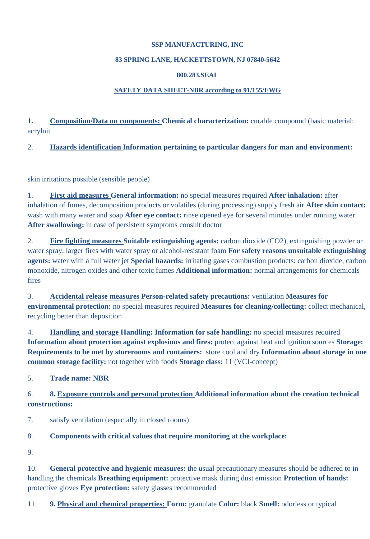### **SSP MANUFACTURING, INC**

### **83 SPRING LANE, HACKETTSTOWN, NJ 07840-5642**

### **800.283.SEAL**

### **SAFETY DATA SHEET-NBR according to 91/155/EWG**

1. **Composition/Data on components: Chemical characterization:** curable compound (basic material: acrylnit

2. **Hazards identification Information pertaining to particular dangers for man and environment:** 

skin irritations possible (sensible people)

1. **First aid measures General information:** no special measures required **After inhalation:** after inhalation of fumes, decomposition products or volatiles (during processing) supply fresh air **After skin contact:**  wash with many water and soap **After eye contact:** rinse opened eye for several minutes under running water **After swallowing:** in case of persistent symptoms consult doctor

2. **Fire fighting measures Suitable extinguishing agents:** carbon dioxide (CO2), extinguishing powder or water spray, larger fires with water spray or alcohol-resistant foam **For safety reasons unsuitable extinguishing agents:** water with a full water jet **Special hazards:** irritating gases combustion products: carbon dioxide, carbon monoxide, nitrogen oxides and other toxic fumes **Additional information:** normal arrangements for chemicals fires

3. **Accidental release measures Person-related safety precautions:** ventilation **Measures for environmental protection:** no special measures required **Measures for cleaning/collecting:** collect mechanical, recycling better than deposition

4. **Handling and storage Handling: Information for safe handling:** no special measures required **Information about protection against explosions and fires:** protect against heat and ignition sources **Storage: Requirements to be met by storerooms and containers:** store cool and dry **Information about storage in one common storage facility:** not together with foods **Storage class:** 11 (VCI-concept)

5. **Trade name: NBR** 

6. **8. Exposure controls and personal protection Additional information about the creation technical constructions:** 

7. satisfy ventilation (especially in closed rooms)

# 8. **Components with critical values that require monitoring at the workplace:**

9.

10. **General protective and hygienic measures:** the usual precautionary measures should be adhered to in handling the chemicals **Breathing equipment:** protective mask during dust emission **Protection of hands:**  protective gloves **Eye protection:** safety glasses recommended

11. **9. Physical and chemical properties: Form:** granulate **Color:** black **Smell:** odorless or typical